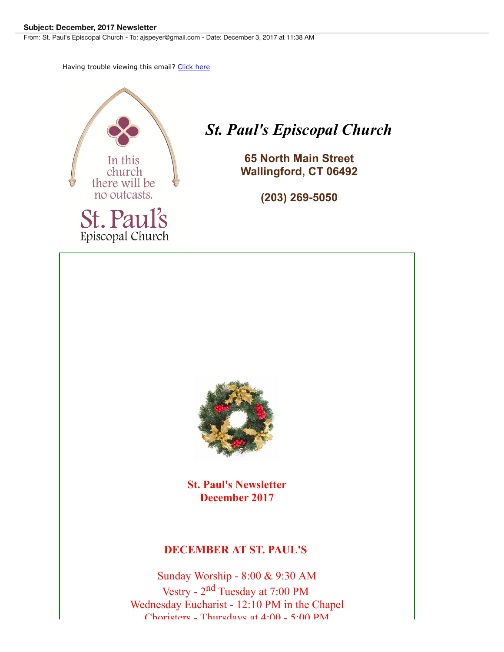#### **Subject: December, 2017 Newsletter**

From: St. Paul's Episcopal Church - To: ajspeyer@gmail.com - Date: December 3, 2017 at 11:38 AM

Having trouble viewing this email? [Click here](http://campaign.r20.constantcontact.com/render?m=1104450241966&ca=c05dfb4b-1d2f-4b8d-84b3-fe7ce05d5cc3)



# *St. Paul's Episcopal Church*

**65 North Main Street Wallingford, CT 06492**

**(203) 269-5050**



**St. Paul's Newsletter December 2017**

### **DECEMBER AT ST. PAUL'S**

Sunday Worship - 8:00 & 9:30 AM Vestry - 2nd Tuesday at 7:00 PM Wednesday Eucharist - 12:10 PM in the Chapel Choristers - Thursdays at 4:00 - 5:00 PM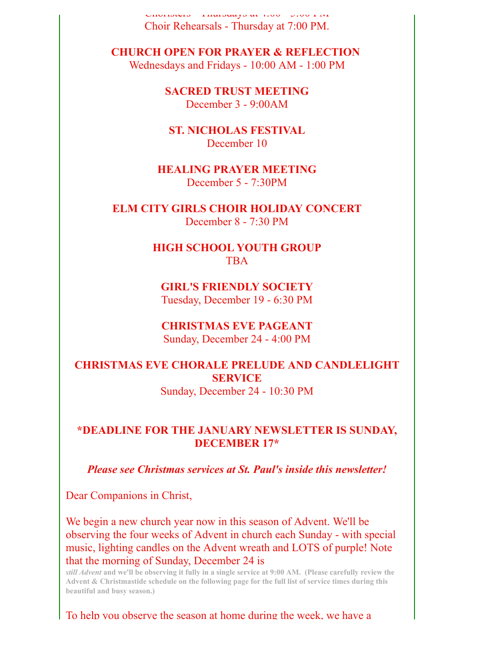CHOLISIVES - THURSDAYS AU  $\pm 1.00 - 3.00$  PM Choir Rehearsals - Thursday at 7:00 PM.

**CHURCH OPEN FOR PRAYER & REFLECTION** Wednesdays and Fridays - 10:00 AM - 1:00 PM

> **SACRED TRUST MEETING** December 3 - 9:00AM

**ST. NICHOLAS FESTIVAL** December 10

**HEALING PRAYER MEETING** December 5 - 7:30PM

**ELM CITY GIRLS CHOIR HOLIDAY CONCERT** December 8 - 7:30 PM

> **HIGH SCHOOL YOUTH GROUP** TBA

**GIRL'S FRIENDLY SOCIETY** Tuesday, December 19 - 6:30 PM

**CHRISTMAS EVE PAGEANT** Sunday, December 24 - 4:00 PM

**CHRISTMAS EVE CHORALE PRELUDE AND CANDLELIGHT SERVICE**

Sunday, December 24 - 10:30 PM

### **\*DEADLINE FOR THE JANUARY NEWSLETTER IS SUNDAY, DECEMBER 17\***

*Please see Christmas services at St. Paul's inside this newsletter!*

Dear Companions in Christ,

We begin a new church year now in this season of Advent. We'll be observing the four weeks of Advent in church each Sunday - with special music, lighting candles on the Advent wreath and LOTS of purple! Note that the morning of Sunday, December 24 is

*still Advent* **and we'll be observing it fully in a single service at 9:00 AM. (Please carefully review the Advent & Christmastide schedule on the following page for the full list of service times during this beautiful and busy season.)**

To help you observe the season at home during the week, we have a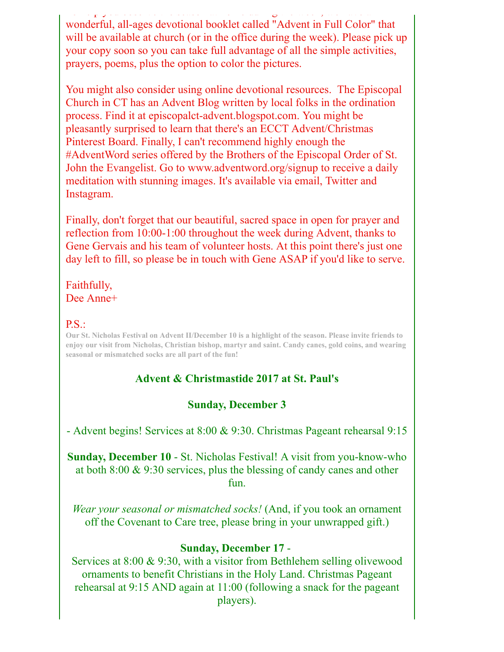To help you observe the season at home during the week, we have a wonderful, all-ages devotional booklet called "Advent in Full Color" that will be available at church (or in the office during the week). Please pick up your copy soon so you can take full advantage of all the simple activities, prayers, poems, plus the option to color the pictures.

You might also consider using online devotional resources. The Episcopal Church in CT has an Advent Blog written by local folks in the ordination process. Find it at episcopalct-advent.blogspot.com. You might be pleasantly surprised to learn that there's an ECCT Advent/Christmas Pinterest Board. Finally, I can't recommend highly enough the #AdventWord series offered by the Brothers of the Episcopal Order of St. John the Evangelist. Go to www.adventword.org/signup to receive a daily meditation with stunning images. It's available via email, Twitter and Instagram.

Finally, don't forget that our beautiful, sacred space in open for prayer and reflection from 10:00-1:00 throughout the week during Advent, thanks to Gene Gervais and his team of volunteer hosts. At this point there's just one day left to fill, so please be in touch with Gene ASAP if you'd like to serve.

### Faithfully, Dee Anne+

### P.S.:

**Our St. Nicholas Festival on Advent II/December 10 is a highlight of the season. Please invite friends to enjoy our visit from Nicholas, Christian bishop, martyr and saint. Candy canes, gold coins, and wearing seasonal or mismatched socks are all part of the fun!**

### **Advent & Christmastide 2017 at St. Paul's**

### **Sunday, December 3**

- Advent begins! Services at 8:00 & 9:30. Christmas Pageant rehearsal 9:15

**Sunday, December 10** - St. Nicholas Festival! A visit from you-know-who at both 8:00 & 9:30 services, plus the blessing of candy canes and other fun.

*Wear your seasonal or mismatched socks!* (And, if you took an ornament off the Covenant to Care tree, please bring in your unwrapped gift.)

### **Sunday, December 17** -

Services at 8:00 & 9:30, with a visitor from Bethlehem selling olivewood ornaments to benefit Christians in the Holy Land. Christmas Pageant rehearsal at 9:15 AND again at 11:00 (following a snack for the pageant players).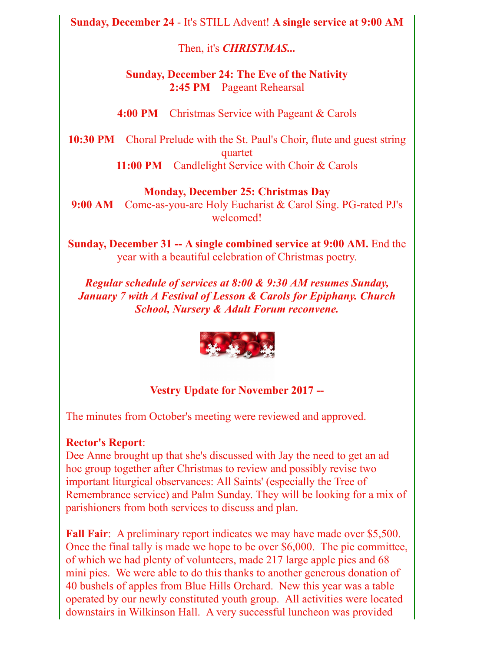**Sunday, December 24** - It's STILL Advent! **A single service at 9:00 AM**

Then, it's *CHRISTMAS...*

## **Sunday, December 24: The Eve of the Nativity 2:45 PM** Pageant Rehearsal

**4:00 PM** Christmas Service with Pageant & Carols

**10:30 PM** Choral Prelude with the St. Paul's Choir, flute and guest string quartet 11:00 PM Candlelight Service with Choir & Carols

## **Monday, December 25: Christmas Day**

**9:00 AM** Come-as-you-are Holy Eucharist & Carol Sing. PG-rated PJ's welcomed!

**Sunday, December 31 -- A single combined service at 9:00 AM.** End the year with a beautiful celebration of Christmas poetry.

*Regular schedule of services at 8:00 & 9:30 AM resumes Sunday, January 7 with A Festival of Lesson & Carols for Epiphany. Church School, Nursery & Adult Forum reconvene.*



## **Vestry Update for November 2017 --**

The minutes from October's meeting were reviewed and approved.

### **Rector's Report**:

Dee Anne brought up that she's discussed with Jay the need to get an ad hoc group together after Christmas to review and possibly revise two important liturgical observances: All Saints' (especially the Tree of Remembrance service) and Palm Sunday. They will be looking for a mix of parishioners from both services to discuss and plan.

**Fall Fair**: A preliminary report indicates we may have made over \$5,500. Once the final tally is made we hope to be over \$6,000. The pie committee, of which we had plenty of volunteers, made 217 large apple pies and 68 mini pies. We were able to do this thanks to another generous donation of 40 bushels of apples from Blue Hills Orchard. New this year was a table operated by our newly constituted youth group. All activities were located downstairs in Wilkinson Hall. A very successful luncheon was provided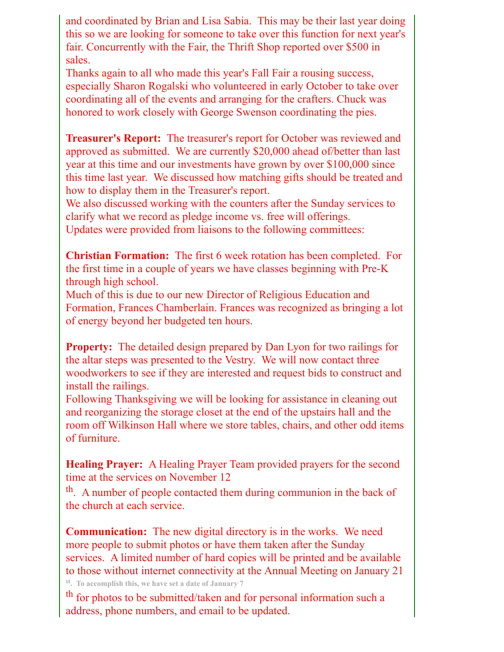and coordinated by Brian and Lisa Sabia. This may be their last year doing this so we are looking for someone to take over this function for next year's fair. Concurrently with the Fair, the Thrift Shop reported over \$500 in sales.

Thanks again to all who made this year's Fall Fair a rousing success, especially Sharon Rogalski who volunteered in early October to take over coordinating all of the events and arranging for the crafters. Chuck was honored to work closely with George Swenson coordinating the pies.

**Treasurer's Report:** The treasurer's report for October was reviewed and approved as submitted. We are currently \$20,000 ahead of/better than last year at this time and our investments have grown by over \$100,000 since this time last year. We discussed how matching gifts should be treated and how to display them in the Treasurer's report.

We also discussed working with the counters after the Sunday services to clarify what we record as pledge income vs. free will offerings.

Updates were provided from liaisons to the following committees:

**Christian Formation:** The first 6 week rotation has been completed. For the first time in a couple of years we have classes beginning with Pre-K through high school.

Much of this is due to our new Director of Religious Education and Formation, Frances Chamberlain. Frances was recognized as bringing a lot of energy beyond her budgeted ten hours.

**Property:** The detailed design prepared by Dan Lyon for two railings for the altar steps was presented to the Vestry. We will now contact three woodworkers to see if they are interested and request bids to construct and install the railings.

Following Thanksgiving we will be looking for assistance in cleaning out and reorganizing the storage closet at the end of the upstairs hall and the room off Wilkinson Hall where we store tables, chairs, and other odd items of furniture.

**Healing Prayer:** A Healing Prayer Team provided prayers for the second time at the services on November 12

th. A number of people contacted them during communion in the back of the church at each service.

**Communication:** The new digital directory is in the works. We need more people to submit photos or have them taken after the Sunday services. A limited number of hard copies will be printed and be available to those without internet connectivity at the Annual Meeting on January 21

**st. To accomplish this, we have set a date of January 7**

th for photos to be submitted/taken and for personal information such a address, phone numbers, and email to be updated.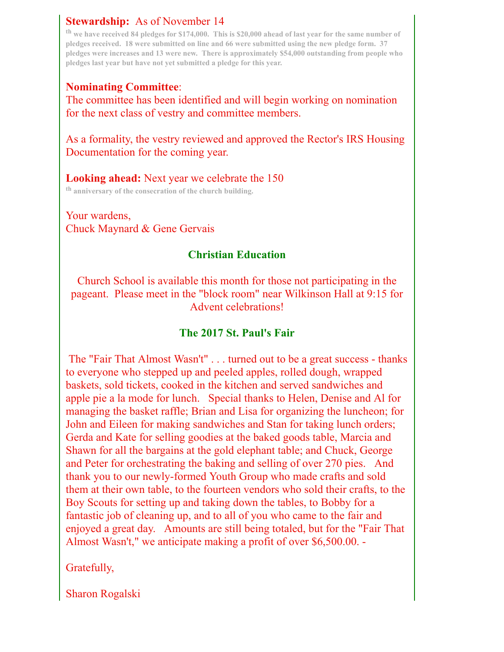## **Stewardship:** As of November 14

**th we have received 84 pledges for \$174,000. This is \$20,000 ahead of last year for the same number of pledges received. 18 were submitted on line and 66 were submitted using the new pledge form. 37 pledges were increases and 13 were new. There is approximately \$54,000 outstanding from people who pledges last year but have not yet submitted a pledge for this year.**

## **Nominating Committee**:

The committee has been identified and will begin working on nomination for the next class of vestry and committee members.

As a formality, the vestry reviewed and approved the Rector's IRS Housing Documentation for the coming year.

# **Looking ahead:** Next year we celebrate the 150

**th anniversary of the consecration of the church building.**

Your wardens, Chuck Maynard & Gene Gervais

## **Christian Education**

Church School is available this month for those not participating in the pageant. Please meet in the "block room" near Wilkinson Hall at 9:15 for Advent celebrations!

## **The 2017 St. Paul's Fair**

The "Fair That Almost Wasn't" . . . turned out to be a great success - thanks to everyone who stepped up and peeled apples, rolled dough, wrapped baskets, sold tickets, cooked in the kitchen and served sandwiches and apple pie a la mode for lunch. Special thanks to Helen, Denise and Al for managing the basket raffle; Brian and Lisa for organizing the luncheon; for John and Eileen for making sandwiches and Stan for taking lunch orders; Gerda and Kate for selling goodies at the baked goods table, Marcia and Shawn for all the bargains at the gold elephant table; and Chuck, George and Peter for orchestrating the baking and selling of over 270 pies. And thank you to our newly-formed Youth Group who made crafts and sold them at their own table, to the fourteen vendors who sold their crafts, to the Boy Scouts for setting up and taking down the tables, to Bobby for a fantastic job of cleaning up, and to all of you who came to the fair and enjoyed a great day. Amounts are still being totaled, but for the "Fair That Almost Wasn't," we anticipate making a profit of over \$6,500.00. -

Gratefully,

Sharon Rogalski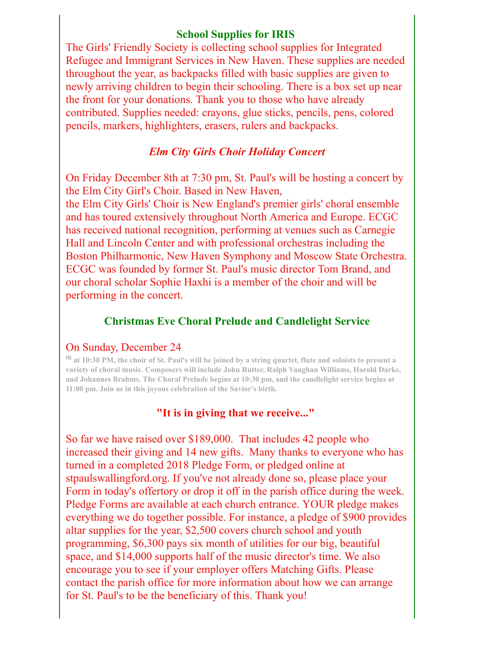### **School Supplies for IRIS**

The Girls' Friendly Society is collecting school supplies for Integrated Refugee and Immigrant Services in New Haven. These supplies are needed throughout the year, as backpacks filled with basic supplies are given to newly arriving children to begin their schooling. There is a box set up near the front for your donations. Thank you to those who have already contributed. Supplies needed: crayons, glue sticks, pencils, pens, colored pencils, markers, highlighters, erasers, rulers and backpacks.

### *Elm City Girls Choir Holiday Concert*

On Friday December 8th at 7:30 pm, St. Paul's will be hosting a concert by the Elm City Girl's Choir. Based in New Haven,

the Elm City Girls' Choir is New England's premier girls' choral ensemble and has toured extensively throughout North America and Europe. ECGC has received national recognition, performing at venues such as Carnegie Hall and Lincoln Center and with professional orchestras including the Boston Philharmonic, New Haven Symphony and Moscow State Orchestra. ECGC was founded by former St. Paul's music director Tom Brand, and our choral scholar Sophie Haxhi is a member of the choir and will be performing in the concert.

### **Christmas Eve Choral Prelude and Candlelight Service**

### On Sunday, December 24

**th at 10:30 PM, the choir of St. Paul's will be joined by a string quartet, flute and soloists to present a variety of choral music. Composers will include John Rutter, Ralph Vaughan Williams, Harold Darke, and Johannes Brahms. The Choral Prelude begins at 10:30 pm, and the candlelight service begins at 11:00 pm. Join us in this joyous celebration of the Savior's birth.**

### **"It is in giving that we receive..."**

So far we have raised over \$189,000. That includes 42 people who increased their giving and 14 new gifts. Many thanks to everyone who has turned in a completed 2018 Pledge Form, or pledged online at stpaulswallingford.org. If you've not already done so, please place your Form in today's offertory or drop it off in the parish office during the week. Pledge Forms are available at each church entrance. YOUR pledge makes everything we do together possible. For instance, a pledge of \$900 provides altar supplies for the year, \$2,500 covers church school and youth programming, \$6,300 pays six month of utilities for our big, beautiful space, and \$14,000 supports half of the music director's time. We also encourage you to see if your employer offers Matching Gifts. Please contact the parish office for more information about how we can arrange for St. Paul's to be the beneficiary of this. Thank you!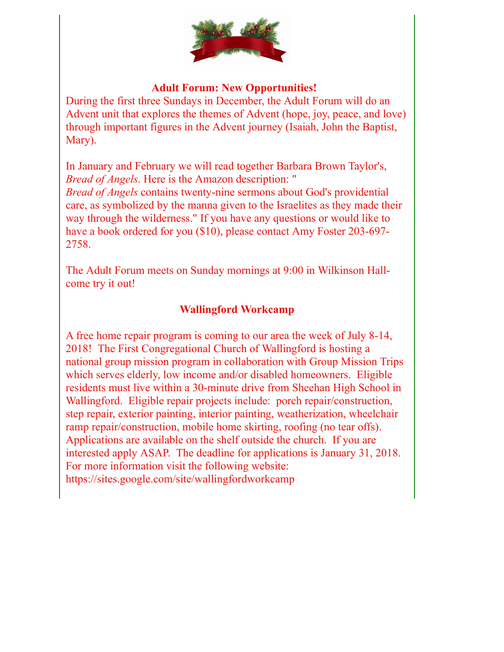

## **Adult Forum: New Opportunities!**

During the first three Sundays in December, the Adult Forum will do an Advent unit that explores the themes of Advent (hope, joy, peace, and love) through important figures in the Advent journey (Isaiah, John the Baptist, Mary).

In January and February we will read together Barbara Brown Taylor's, *Bread of Angels*. Here is the Amazon description: "

*Bread of Angels* contains twenty-nine sermons about God's providential care, as symbolized by the manna given to the Israelites as they made their way through the wilderness." If you have any questions or would like to have a book ordered for you (\$10), please contact Amy Foster 203-697- 2758.

The Adult Forum meets on Sunday mornings at 9:00 in Wilkinson Hallcome try it out!

## **Wallingford Workcamp**

A free home repair program is coming to our area the week of July 8-14, 2018! The First Congregational Church of Wallingford is hosting a national group mission program in collaboration with Group Mission Trips which serves elderly, low income and/or disabled homeowners. Eligible residents must live within a 30-minute drive from Sheehan High School in Wallingford. Eligible repair projects include: porch repair/construction, step repair, exterior painting, interior painting, weatherization, wheelchair ramp repair/construction, mobile home skirting, roofing (no tear offs). Applications are available on the shelf outside the church. If you are interested apply ASAP. The deadline for applications is January 31, 2018. For more information visit the following website: https://sites.google.com/site/wallingfordworkcamp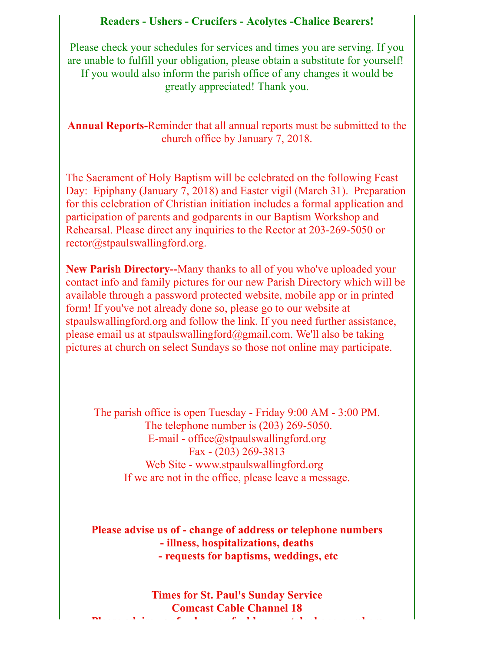### **Readers - Ushers - Crucifers - Acolytes -Chalice Bearers!**

Please check your schedules for services and times you are serving. If you are unable to fulfill your obligation, please obtain a substitute for yourself! If you would also inform the parish office of any changes it would be greatly appreciated! Thank you.

**Annual Reports-**Reminder that all annual reports must be submitted to the church office by January 7, 2018.

The Sacrament of Holy Baptism will be celebrated on the following Feast Day: Epiphany (January 7, 2018) and Easter vigil (March 31). Preparation for this celebration of Christian initiation includes a formal application and participation of parents and godparents in our Baptism Workshop and Rehearsal. Please direct any inquiries to the Rector at 203-269-5050 or rector@stpaulswallingford.org.

**New Parish Directory--**Many thanks to all of you who've uploaded your contact info and family pictures for our new Parish Directory which will be available through a password protected website, mobile app or in printed form! If you've not already done so, please go to our website at stpaulswallingford.org and follow the link. If you need further assistance, please email us at stpaulswallingford@gmail.com. We'll also be taking pictures at church on select Sundays so those not online may participate.

The parish office is open Tuesday - Friday 9:00 AM - 3:00 PM. The telephone number is (203) 269-5050. E-mail - office@stpaulswallingford.org Fax - (203) 269-3813 Web Site - www.stpaulswallingford.org If we are not in the office, please leave a message.

**Please advise us of - change of address or telephone numbers - illness, hospitalizations, deaths - requests for baptisms, weddings, etc**

**Times for St. Paul's Sunday Service Comcast Cable Channel 18 Please advise us of - change of address or telephone numbers**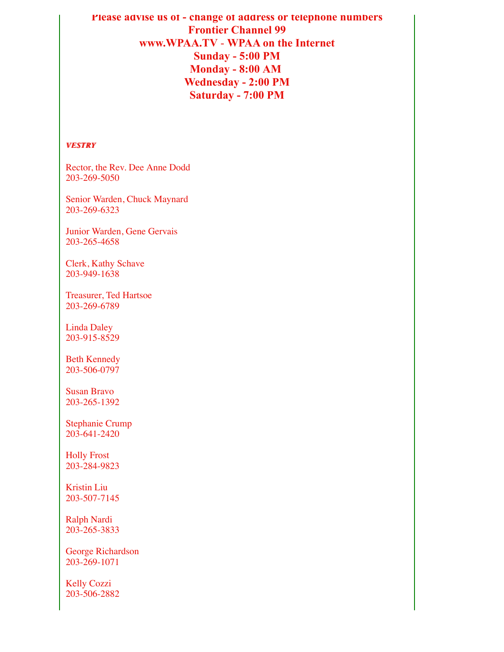## **Please advise us of - change of address or telephone numbers Frontier Channel 99 www.WPAA.TV** - **WPAA on the Internet Sunday - 5:00 PM Monday - 8:00 AM Wednesday - 2:00 PM Saturday - 7:00 PM**

#### *VESTRY VESTRY*

Rector, the Rev. Dee Anne Dodd 203-269-5050

Senior Warden, Chuck Maynard 203-269-6323

Junior Warden, Gene Gervais 203-265-4658

Clerk, Kathy Schave 203-949-1638

Treasurer, Ted Hartsoe 203-269-6789

Linda Daley 203-915-8529

Beth Kennedy 203-506-0797

Susan Bravo 203-265-1392

Stephanie Crump 203-641-2420

Holly Frost 203-284-9823

Kristin Liu 203-507-7145

Ralph Nardi 203-265-3833

George Richardson 203-269-1071

Kelly Cozzi 203-506-2882